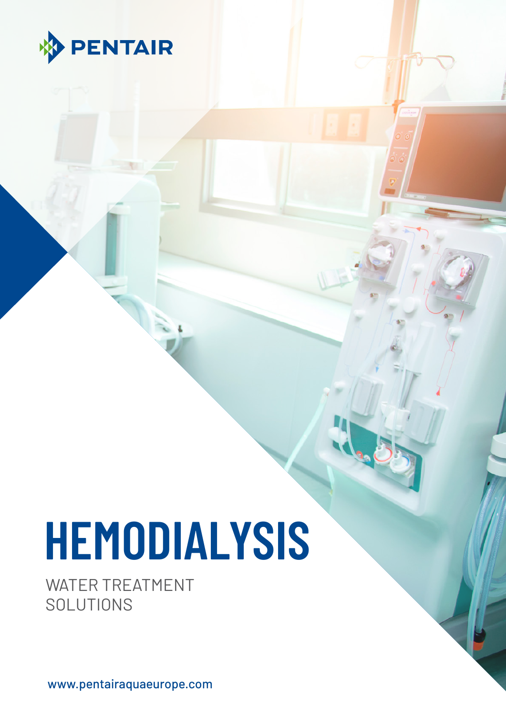

# **HEMODIALYSIS**

WATER TREATMENT SOLUTIONS

www.pentairaquaeurope.com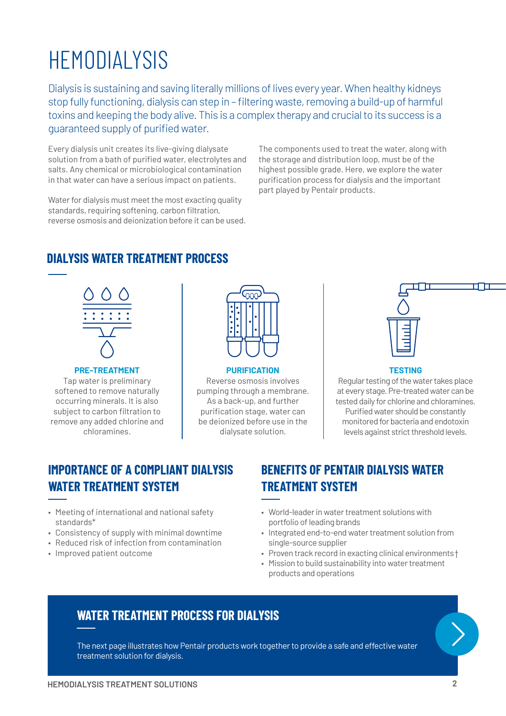# HEMODIALYSIS

Dialysis is sustaining and saving literally millions of lives every year. When healthy kidneys stop fully functioning, dialysis can step in – filtering waste, removing a build-up of harmful toxins and keeping the body alive. This is a complex therapy and crucial to its success is a guaranteed supply of purified water.

Every dialysis unit creates its live-giving dialysate solution from a bath of purified water, electrolytes and salts. Any chemical or microbiological contamination in that water can have a serious impact on patients.

Water for dialysis must meet the most exacting quality standards, requiring softening, carbon filtration, reverse osmosis and deionization before it can be used. The components used to treat the water, along with the storage and distribution loop, must be of the highest possible grade. Here, we explore the water purification process for dialysis and the important part played by Pentair products.

## **DIALYSIS WATER TREATMENT PROCESS**



#### **PRE-TREATMENT**

Tap water is preliminary softened to remove naturally occurring minerals. It is also subject to carbon filtration to remove any added chlorine and chloramines.



#### **PURIFICATION**

Reverse osmosis involves pumping through a membrane. As a back-up, and further purification stage, water can be deionized before use in the dialysate solution.

# **TESTING** Regular testing of the water takes place

at every stage. Pre-treated water can be tested daily for chlorine and chloramines. Purified water should be constantly monitored for bacteria and endotoxin levels against strict threshold levels.

## **IMPORTANCE OF A COMPLIANT DIALYSIS WATER TREATMENT SYSTEM**

- Meeting of international and national safety standards\*
- Consistency of supply with minimal downtime
- Reduced risk of infection from contamination
- Improved patient outcome

## **BENEFITS OF PENTAIR DIALYSIS WATER TREATMENT SYSTEM**

- World-leader in water treatment solutions with portfolio of leading brands
- Integrated end-to-end water treatment solution from single-source supplier
- Proven track record in exacting clinical environments†
- Mission to build sustainability into water treatment products and operations

#### **WATER TREATMENT PROCESS FOR DIALYSIS**

The next page illustrates how Pentair products work together to provide a safe and effective water treatment solution for dialysis.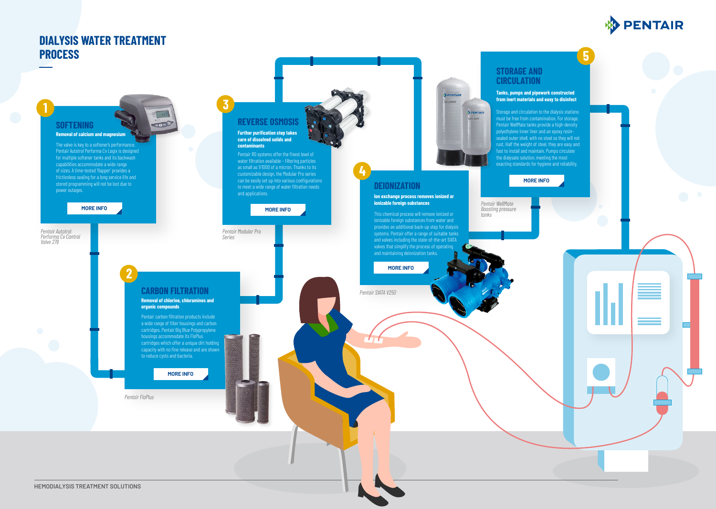

# **DIALYSIS WATER TREATMENT PROCESS**



**5**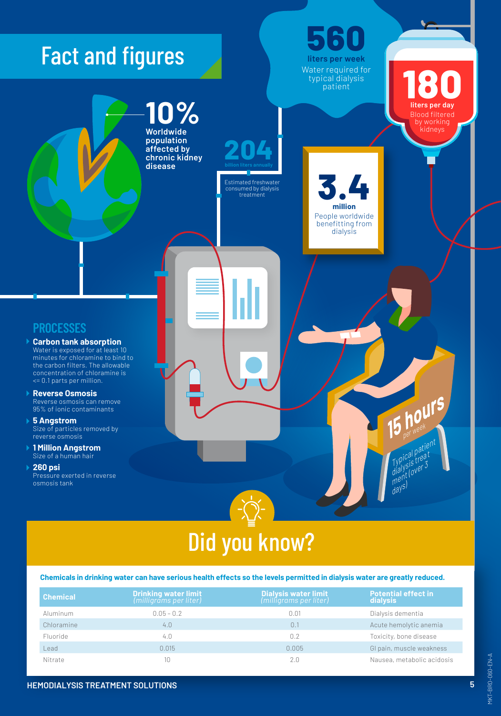

#### **Chemicals in drinking water can have serious health effects so the levels permitted in dialysis water are greatly reduced.**

| <b>Chemical</b> | <b>Drinking water limit</b><br>(milligrams per liter) | <b>Dialysis water limit</b><br>(milligrams per liter) | <b>Potential effect in</b><br><b>dialysis</b> |
|-----------------|-------------------------------------------------------|-------------------------------------------------------|-----------------------------------------------|
| Aluminum        | $0.05 - 0.2$                                          | 0.01                                                  | Dialysis dementia                             |
| Chloramine      | 4.0                                                   | 0.1                                                   | Acute hemolytic anemia                        |
| Fluoride        | 4.0                                                   | $0.2^{\circ}$                                         | Toxicity, bone disease                        |
| Lead            | 0.015                                                 | 0.005                                                 | GI pain, muscle weakness                      |
| Nitrate         |                                                       | 2.0                                                   | Nausea, metabolic acidosis                    |

MKT-BRO-060-EN-A

1KT-BRO-060-EN-A